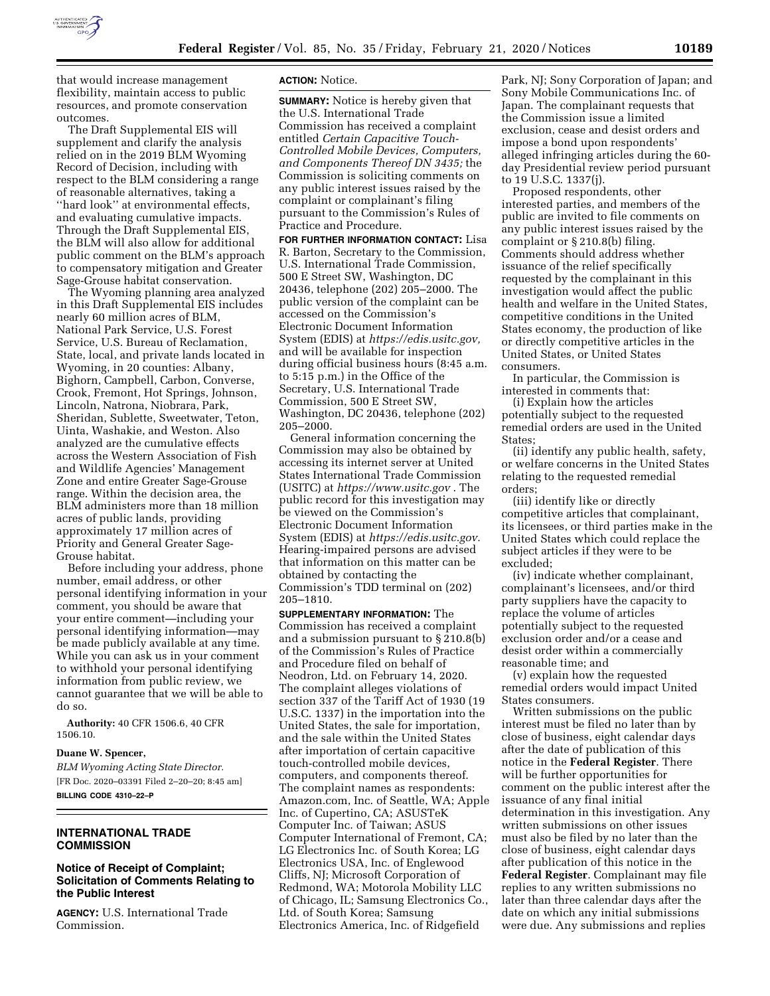

that would increase management flexibility, maintain access to public resources, and promote conservation outcomes.

The Draft Supplemental EIS will supplement and clarify the analysis relied on in the 2019 BLM Wyoming Record of Decision, including with respect to the BLM considering a range of reasonable alternatives, taking a ''hard look'' at environmental effects, and evaluating cumulative impacts. Through the Draft Supplemental EIS, the BLM will also allow for additional public comment on the BLM's approach to compensatory mitigation and Greater Sage-Grouse habitat conservation.

The Wyoming planning area analyzed in this Draft Supplemental EIS includes nearly 60 million acres of BLM, National Park Service, U.S. Forest Service, U.S. Bureau of Reclamation, State, local, and private lands located in Wyoming, in 20 counties: Albany, Bighorn, Campbell, Carbon, Converse, Crook, Fremont, Hot Springs, Johnson, Lincoln, Natrona, Niobrara, Park, Sheridan, Sublette, Sweetwater, Teton, Uinta, Washakie, and Weston. Also analyzed are the cumulative effects across the Western Association of Fish and Wildlife Agencies' Management Zone and entire Greater Sage-Grouse range. Within the decision area, the BLM administers more than 18 million acres of public lands, providing approximately 17 million acres of Priority and General Greater Sage-Grouse habitat.

Before including your address, phone number, email address, or other personal identifying information in your comment, you should be aware that your entire comment—including your personal identifying information—may be made publicly available at any time. While you can ask us in your comment to withhold your personal identifying information from public review, we cannot guarantee that we will be able to do so.

**Authority:** 40 CFR 1506.6, 40 CFR 1506.10.

**Duane W. Spencer,**  *BLM Wyoming Acting State Director.*  [FR Doc. 2020–03391 Filed 2–20–20; 8:45 am] **BILLING CODE 4310–22–P** 

### **INTERNATIONAL TRADE COMMISSION**

# **Notice of Receipt of Complaint; Solicitation of Comments Relating to the Public Interest**

**AGENCY:** U.S. International Trade Commission.

### **ACTION:** Notice.

**SUMMARY:** Notice is hereby given that the U.S. International Trade Commission has received a complaint entitled *Certain Capacitive Touch-Controlled Mobile Devices, Computers, and Components Thereof DN 3435;* the Commission is soliciting comments on any public interest issues raised by the complaint or complainant's filing pursuant to the Commission's Rules of Practice and Procedure.

**FOR FURTHER INFORMATION CONTACT:** Lisa R. Barton, Secretary to the Commission, U.S. International Trade Commission, 500 E Street SW, Washington, DC 20436, telephone (202) 205–2000. The public version of the complaint can be accessed on the Commission's Electronic Document Information System (EDIS) at *https://edis.usitc.gov,*  and will be available for inspection during official business hours (8:45 a.m. to 5:15 p.m.) in the Office of the Secretary, U.S. International Trade Commission, 500 E Street SW, Washington, DC 20436, telephone (202) 205–2000.

General information concerning the Commission may also be obtained by accessing its internet server at United States International Trade Commission (USITC) at *https://www.usitc.gov* . The public record for this investigation may be viewed on the Commission's Electronic Document Information System (EDIS) at *https://edis.usitc.gov.*  Hearing-impaired persons are advised that information on this matter can be obtained by contacting the Commission's TDD terminal on (202) 205–1810.

**SUPPLEMENTARY INFORMATION:** The Commission has received a complaint and a submission pursuant to § 210.8(b) of the Commission's Rules of Practice and Procedure filed on behalf of Neodron, Ltd. on February 14, 2020. The complaint alleges violations of section 337 of the Tariff Act of 1930 (19 U.S.C. 1337) in the importation into the United States, the sale for importation, and the sale within the United States after importation of certain capacitive touch-controlled mobile devices, computers, and components thereof. The complaint names as respondents: Amazon.com, Inc. of Seattle, WA; Apple Inc. of Cupertino, CA; ASUSTeK Computer Inc. of Taiwan; ASUS Computer International of Fremont, CA; LG Electronics Inc. of South Korea; LG Electronics USA, Inc. of Englewood Cliffs, NJ; Microsoft Corporation of Redmond, WA; Motorola Mobility LLC of Chicago, IL; Samsung Electronics Co., Ltd. of South Korea; Samsung Electronics America, Inc. of Ridgefield

Park, NJ; Sony Corporation of Japan; and Sony Mobile Communications Inc. of Japan. The complainant requests that the Commission issue a limited exclusion, cease and desist orders and impose a bond upon respondents' alleged infringing articles during the 60 day Presidential review period pursuant to 19 U.S.C. 1337(j).

Proposed respondents, other interested parties, and members of the public are invited to file comments on any public interest issues raised by the complaint or § 210.8(b) filing. Comments should address whether issuance of the relief specifically requested by the complainant in this investigation would affect the public health and welfare in the United States, competitive conditions in the United States economy, the production of like or directly competitive articles in the United States, or United States consumers.

In particular, the Commission is interested in comments that:

(i) Explain how the articles potentially subject to the requested remedial orders are used in the United States;

(ii) identify any public health, safety, or welfare concerns in the United States relating to the requested remedial orders;

(iii) identify like or directly competitive articles that complainant, its licensees, or third parties make in the United States which could replace the subject articles if they were to be excluded;

(iv) indicate whether complainant, complainant's licensees, and/or third party suppliers have the capacity to replace the volume of articles potentially subject to the requested exclusion order and/or a cease and desist order within a commercially reasonable time; and

(v) explain how the requested remedial orders would impact United States consumers.

Written submissions on the public interest must be filed no later than by close of business, eight calendar days after the date of publication of this notice in the **Federal Register**. There will be further opportunities for comment on the public interest after the issuance of any final initial determination in this investigation. Any written submissions on other issues must also be filed by no later than the close of business, eight calendar days after publication of this notice in the **Federal Register**. Complainant may file replies to any written submissions no later than three calendar days after the date on which any initial submissions were due. Any submissions and replies